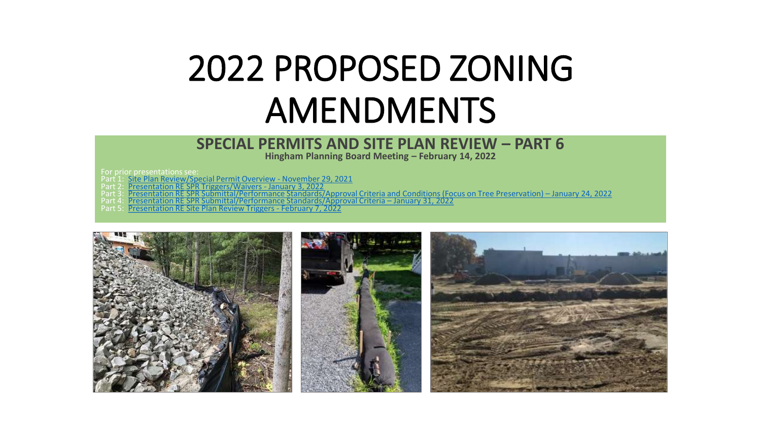# 2022 PROPOSED ZONING AMENDMENTS

#### **SPECIAL PERMITS AND SITE PLAN REVIEW – PART 6**

**Hingham Planning Board Meeting – February 14, 2022**

For prior presentations see:

- Part 1: [Site Plan Review/Special Permit Overview -](https://www.hingham-ma.gov/DocumentCenter/View/13388) November 29, 2021
- Part 2: [Presentation RE SPR Triggers/Waivers -](https://www.hingham-ma.gov/DocumentCenter/View/13416) January 3, 2022
- Part 3: [Presentation RE SPR Submittal/Performance Standards/Approval Criteria and Conditions \(Focus on Tree Preservation\)](https://www.hingham-ma.gov/DocumentCenter/View/13525)  January 24, 2022
- Part 4: [Presentation RE SPR Submittal/Performance Standards/Approval Criteria](https://www.hingham-ma.gov/DocumentCenter/View/13570)  January 31, 2022
- Part 5: [Presentation RE Site Plan Review Triggers -](https://www.hingham-ma.gov/DocumentCenter/View/13613/2022-Proposed-Zoning-Amendments---SPs-and-SPR-2-7-22?bidId=) February 7, 2022

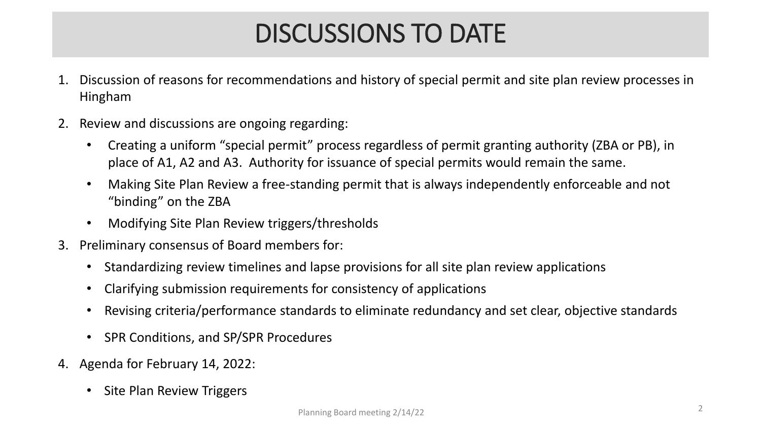## DISCUSSIONS TO DATE

- 1. Discussion of reasons for recommendations and history of special permit and site plan review processes in Hingham
- 2. Review and discussions are ongoing regarding:
	- Creating a uniform "special permit" process regardless of permit granting authority (ZBA or PB), in place of A1, A2 and A3. Authority for issuance of special permits would remain the same.
	- Making Site Plan Review a free-standing permit that is always independently enforceable and not "binding" on the ZBA
	- Modifying Site Plan Review triggers/thresholds
- 3. Preliminary consensus of Board members for:
	- Standardizing review timelines and lapse provisions for all site plan review applications
	- Clarifying submission requirements for consistency of applications
	- Revising criteria/performance standards to eliminate redundancy and set clear, objective standards
	- SPR Conditions, and SP/SPR Procedures
- 4. Agenda for February 14, 2022:
	- Site Plan Review Triggers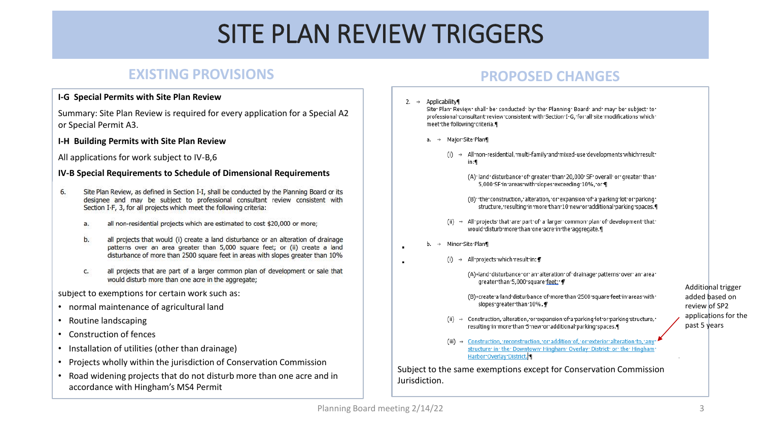#### **EXISTING PROVISIONS**

#### **I-G Special Permits with Site Plan Review**

Summary: Site Plan Review is required for every application for a Special A2 or Special Permit A3.

#### **I-H Building Permits with Site Plan Review**

All applications for work subject to IV-B,6

#### **IV-B Special Requirements to Schedule of Dimensional Requirements**

- Site Plan Review, as defined in Section I-I, shall be conducted by the Planning Board or its 6. designee and may be subject to professional consultant review consistent with Section I-F, 3, for all projects which meet the following criteria:
	- all non-residential projects which are estimated to cost \$20,000 or more; a.
	- all projects that would (i) create a land disturbance or an alteration of drainage b. patterns over an area greater than 5,000 square feet; or (ii) create a land disturbance of more than 2500 square feet in areas with slopes greater than 10%
	- all projects that are part of a larger common plan of development or sale that C. would disturb more than one acre in the aggregate;

subject to exemptions for certain work such as:

- normal maintenance of agricultural land
- Routine landscaping
- Construction of fences
- Installation of utilities (other than drainage)
- Projects wholly within the jurisdiction of Conservation Commission
- Road widening projects that do not disturb more than one acre and in accordance with Hingham's MS4 Permit

#### **PROPOSED CHANGES**



- (B)+create·a·land·disturbance·of·more·than·2500·square·feet·in·areas·with· slopes greater than 10%.
- (ii)  $\rightarrow$  Construction, alteration, or expansion of a parking lot or parking structure, resulting in more than 5 new or additional parking spaces.
- (iii) → Construction, reconstruction, or addition of, or exterior alteration to, an structure<sup>·</sup> in· the· Downtown· Hingham· Overlay· District· or· the· Hingham Harbor Overlay District.<sup>4</sup>

Subject to the same exemptions except for Conservation Commission Jurisdiction.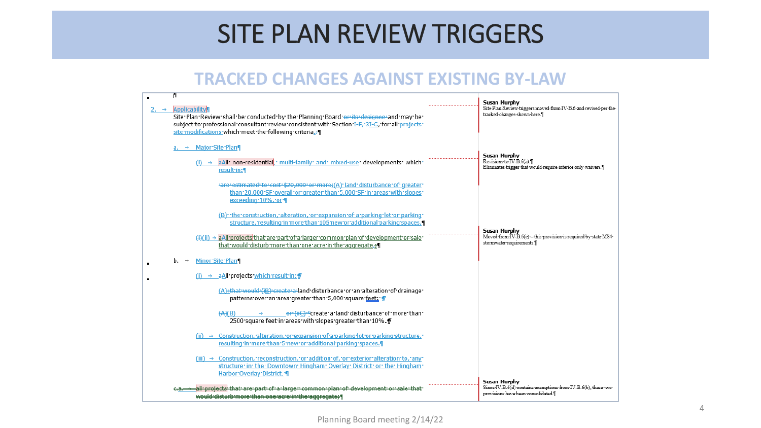### **TRACKED CHANGES AGAINST EXISTING BY-LAW**

| <b>Applicability</b><br>Site Plan Review shall be conducted by the Planning Board or its designee and may be<br>subject to professional consultant review consistent with Section I-F-3I-G, for all projects<br>site modifications which meet the following criteria. [4] | Susan Murphy<br>Site Plan-Review triggers moved from IV-B.6 and revised per the<br>tracked changes shown here. I     |
|---------------------------------------------------------------------------------------------------------------------------------------------------------------------------------------------------------------------------------------------------------------------------|----------------------------------------------------------------------------------------------------------------------|
| $a. \rightarrow$ Major Site Plan<br>aAll non-residential multi-family and mixed-use developments which<br>result in: ¶                                                                                                                                                    | Susan Murphy<br>Revisions to IV-B.6(a).<br>Eliminates trigger that would require interior only waivers.]             |
| are estimated to cost \$20,000 or more; (A) land disturbance of greater<br>than:20,000:SF:overall:or:greater:than:5,000:SF:in:areas:with:slopes:<br>exceeding 10%, or I                                                                                                   |                                                                                                                      |
| (B) ·· the construction, · alteration, · or · expansion · of · a · parking · lot · or · parking ·<br>structure, resulting in more than 105 new or additional parking spaces.                                                                                              |                                                                                                                      |
| $(H)(ii) \rightarrow aAll projects' that' are part' of a larger common plan' of 'development' or "sale"$<br>that would disturb more than one acre in the aggregate.                                                                                                       | Susan Murphy<br>Moved from IV-B.6(c)-this provision is required by state MS4<br>stormwater requirements.             |
| Minor Site Plan                                                                                                                                                                                                                                                           |                                                                                                                      |
| → aAll projects which result in: ¶                                                                                                                                                                                                                                        |                                                                                                                      |
| (A) that would (iB) create a land disturbance or an alteration of drainage<br>patterns over an area greater than 5,000 square feet: T                                                                                                                                     |                                                                                                                      |
| (A)(B)<br>2500 square feet in areas with slopes greater than 10%.                                                                                                                                                                                                         |                                                                                                                      |
| (ii) → Construction, alteration, or expansion of a parking lot or parking structure,<br>resulting in more than 5 new or additional parking spaces.                                                                                                                        |                                                                                                                      |
| (iii) $\rightarrow$ Construction, reconstruction, or addition of, or exterior alteration to, any<br>structure: in: the: Downtown: Hingham: Overlay: District: or: the: Hingham:<br>Harbor Overlay District. I                                                             |                                                                                                                      |
| <mark>.all-projects</mark> that-are-part-of-a-larger-common-plan-of-development-or-sale-that<br>would-disturb-more-than-one-acre-in-the-aggregate; \]                                                                                                                     | Susan Murphy<br>Since IV-B.6(d) contains exemptions from IV-B.6(b), these two-<br>provisions have been consolidated. |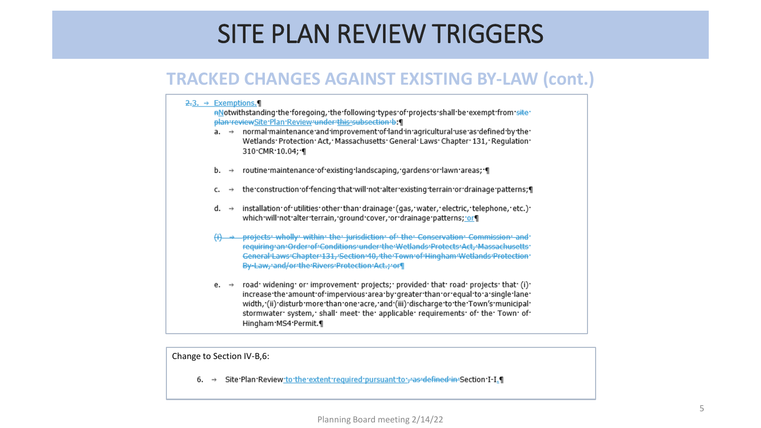### **TRACKED CHANGES AGAINST EXISTING BY-LAW (cont.)**

#### $2.3. \rightarrow Exemptions.$ nNotwithstanding the foregoing, the following types of projects shall be exempt from site plan-reviewSite-Plan-Review-under-this-subsection-b. 1  $a. \rightarrow$  normal maintenance and improvement of land in agricultural use as defined by the Wetlands· Protection· Act, · Massachusetts· General· Laws· Chapter· 131, · Requlation· 310 CMR 10.04; 1 routine maintenance of existing landscaping, gardens or lawn areas; [ b. the construction of fencing that will not alter existing terrain or drainage patterns; d.  $\rightarrow$  installation of utilities other than drainage (gas, water, electric, telephone, etc.) which will not alter terrain, ground cover, or drainage patterns; or (i) -> projects wholly within the jurisdiction of the Conservation Commission and requiring an Order of Conditions under the Wetlands Protects Act, Massachusetts General-Laws-Chapter-131, Section-40, the Town-of-Hingham-Wetlands-Protection By-Law, and/or the Rivers Protection Act., or e. → road· widening· or· improvement· projects; · provided· that· road· projects· that· (i)· increase the amount of impervious area by greater than or equal to a single lane width, '(ii) 'disturb 'more 'than 'one acre, 'and '(iii) 'discharge 'to 'the 'Town's 'municipal' stormwater system, shall meet the applicable requirements of the Town of Hingham MS4 Permit.

Change to Section IV-B,6:

6. → Site Plan Review to the extent required pursuant to - as defined in Section I-I.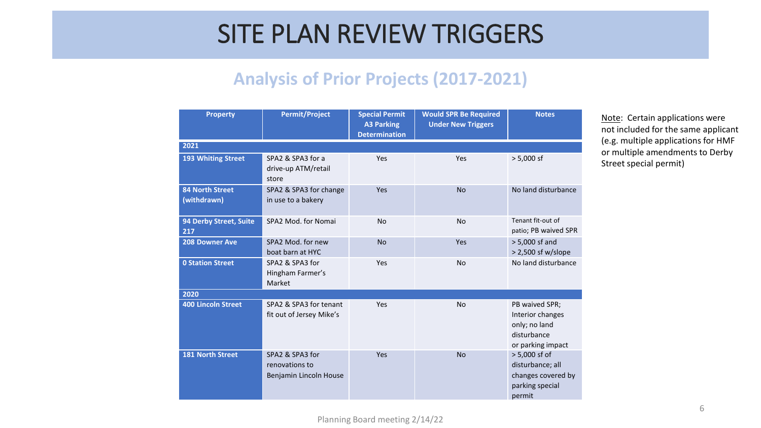### **Analysis of Prior Projects (2017-2021)**

| <b>Property</b>                       | <b>Permit/Project</b>                                       | <b>Special Permit</b><br><b>A3 Parking</b><br><b>Determination</b> | <b>Would SPR Be Required</b><br><b>Under New Triggers</b> | <b>Notes</b>                                                                            |  |
|---------------------------------------|-------------------------------------------------------------|--------------------------------------------------------------------|-----------------------------------------------------------|-----------------------------------------------------------------------------------------|--|
| 2021                                  |                                                             |                                                                    |                                                           |                                                                                         |  |
| 193 Whiting Street                    | SPA2 & SPA3 for a<br>drive-up ATM/retail<br>store           | Yes                                                                | Yes                                                       | $> 5,000$ sf                                                                            |  |
| <b>84 North Street</b><br>(withdrawn) | SPA2 & SPA3 for change<br>in use to a bakery                | Yes                                                                | <b>No</b>                                                 | No land disturbance                                                                     |  |
| 94 Derby Street, Suite<br>217         | SPA2 Mod. for Nomai                                         | <b>No</b>                                                          | <b>No</b>                                                 | Tenant fit-out of<br>patio; PB waived SPR                                               |  |
| <b>208 Downer Ave</b>                 | SPA2 Mod. for new<br>boat barn at HYC                       | <b>No</b>                                                          | Yes                                                       | $> 5,000$ sf and<br>$> 2,500$ sf w/slope                                                |  |
| <b>0 Station Street</b>               | SPA2 & SPA3 for<br>Hingham Farmer's<br>Market               | Yes                                                                | <b>No</b>                                                 | No land disturbance                                                                     |  |
| 2020                                  |                                                             |                                                                    |                                                           |                                                                                         |  |
| <b>400 Lincoln Street</b>             | SPA2 & SPA3 for tenant<br>fit out of Jersey Mike's          | Yes                                                                | <b>No</b>                                                 | PB waived SPR;<br>Interior changes<br>only; no land<br>disturbance<br>or parking impact |  |
| <b>181 North Street</b>               | SPA2 & SPA3 for<br>renovations to<br>Benjamin Lincoln House | Yes                                                                | <b>No</b>                                                 | > 5,000 sf of<br>disturbance; all<br>changes covered by<br>parking special<br>permit    |  |

Note: Certain applications were not included for the same applicant (e.g. multiple applications for HMF or multiple amendments to Derby Street special permit)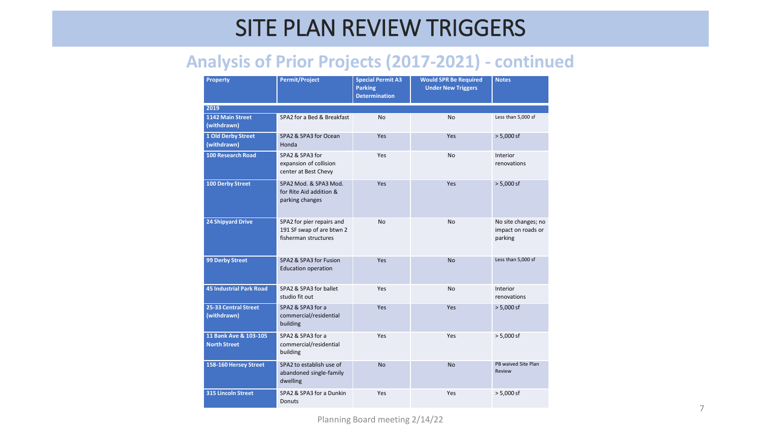### **Analysis of Prior Projects (2017-2021) - continued**

| <b>Property</b>                              | <b>Permit/Project</b>                                                          | <b>Special Permit A3</b><br><b>Parking</b><br><b>Determination</b> | <b>Would SPR Be Required</b><br><b>Under New Triggers</b> | <b>Notes</b>                                         |  |  |
|----------------------------------------------|--------------------------------------------------------------------------------|--------------------------------------------------------------------|-----------------------------------------------------------|------------------------------------------------------|--|--|
| 2019                                         |                                                                                |                                                                    |                                                           |                                                      |  |  |
| 1142 Main Street<br>(withdrawn)              | SPA2 for a Bed & Breakfast                                                     | <b>No</b>                                                          | <b>No</b>                                                 | Less than 5,000 sf                                   |  |  |
| 1 Old Derby Street<br>(withdrawn)            | SPA2 & SPA3 for Ocean<br>Honda                                                 | Yes                                                                | Yes                                                       | $> 5,000$ sf                                         |  |  |
| <b>100 Research Road</b>                     | SPA2 & SPA3 for<br>expansion of collision<br>center at Best Chevy              | Yes                                                                | <b>No</b>                                                 | Interior<br>renovations                              |  |  |
| <b>100 Derby Street</b>                      | SPA2 Mod. & SPA3 Mod.<br>for Rite Aid addition &<br>parking changes            | Yes                                                                | Yes                                                       | $> 5,000$ sf                                         |  |  |
| <b>24 Shipyard Drive</b>                     | SPA2 for pier repairs and<br>191 SF swap of are btwn 2<br>fisherman structures | <b>No</b>                                                          | <b>No</b>                                                 | No site changes; no<br>impact on roads or<br>parking |  |  |
| <b>99 Derby Street</b>                       | SPA2 & SPA3 for Fusion<br><b>Education operation</b>                           | Yes                                                                | <b>No</b>                                                 | Less than 5,000 sf                                   |  |  |
| <b>45 Industrial Park Road</b>               | SPA2 & SPA3 for ballet<br>studio fit out                                       | Yes                                                                | No                                                        | Interior<br>renovations                              |  |  |
| 25-33 Central Street<br>(withdrawn)          | SPA2 & SPA3 for a<br>commercial/residential<br>building                        | Yes                                                                | Yes                                                       | $> 5,000$ sf                                         |  |  |
| 11 Bank Ave & 103-105<br><b>North Street</b> | SPA2 & SPA3 for a<br>commercial/residential<br>building                        | Yes                                                                | Yes                                                       | $> 5,000$ sf                                         |  |  |
| 158-160 Hersey Street                        | SPA2 to establish use of<br>abandoned single-family<br>dwelling                | <b>No</b>                                                          | <b>No</b>                                                 | PB waived Site Plan<br>Review                        |  |  |
| <b>315 Lincoln Street</b>                    | SPA2 & SPA3 for a Dunkin<br>Donuts                                             | Yes                                                                | Yes                                                       | $> 5,000$ sf                                         |  |  |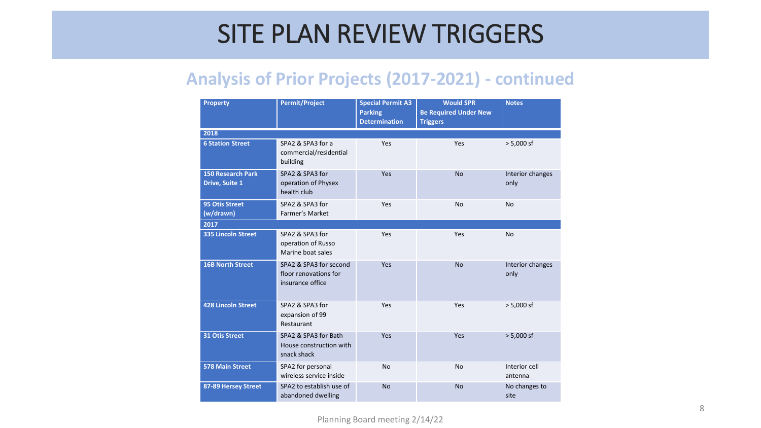### **Analysis of Prior Projects (2017-2021) - continued**

| <b>Property</b>                                   | <b>Permit/Project</b>                                               | <b>Special Permit A3</b><br><b>Parking</b><br><b>Determination</b> | <b>Would SPR</b><br><b>Be Required Under New</b><br><b>Triggers</b> | <b>Notes</b>             |  |  |
|---------------------------------------------------|---------------------------------------------------------------------|--------------------------------------------------------------------|---------------------------------------------------------------------|--------------------------|--|--|
| 2018                                              |                                                                     |                                                                    |                                                                     |                          |  |  |
| <b>6 Station Street</b>                           | SPA2 & SPA3 for a<br>commercial/residential<br>building             | Yes                                                                | Yes                                                                 | $> 5,000$ sf             |  |  |
| <b>150 Research Park</b><br><b>Drive, Suite 1</b> | SPA2 & SPA3 for<br>operation of Physex<br>health club               | Yes                                                                | <b>No</b>                                                           | Interior changes<br>only |  |  |
| <b>95 Otis Street</b><br>(w/drawn)                | SPA2 & SPA3 for<br>Farmer's Market                                  | Yes                                                                | <b>No</b>                                                           | <b>No</b>                |  |  |
| 2017                                              |                                                                     |                                                                    |                                                                     |                          |  |  |
| <b>335 Lincoln Street</b>                         | SPA2 & SPA3 for<br>operation of Russo<br>Marine boat sales          | Yes                                                                | Yes                                                                 | <b>No</b>                |  |  |
| <b>16B North Street</b>                           | SPA2 & SPA3 for second<br>floor renovations for<br>insurance office | Yes                                                                | <b>No</b>                                                           | Interior changes<br>only |  |  |
| <b>428 Lincoln Street</b>                         | SPA2 & SPA3 for<br>expansion of 99<br>Restaurant                    | Yes                                                                | Yes                                                                 | $> 5,000$ sf             |  |  |
| <b>31 Otis Street</b>                             | SPA2 & SPA3 for Bath<br>House construction with<br>snack shack      | Yes                                                                | Yes                                                                 | $> 5,000$ sf             |  |  |
| <b>578 Main Street</b>                            | SPA2 for personal<br>wireless service inside                        | <b>No</b>                                                          | <b>No</b>                                                           | Interior cell<br>antenna |  |  |
| 87-89 Hersey Street                               | SPA2 to establish use of<br>abandoned dwelling                      | <b>No</b>                                                          | <b>No</b>                                                           | No changes to<br>site    |  |  |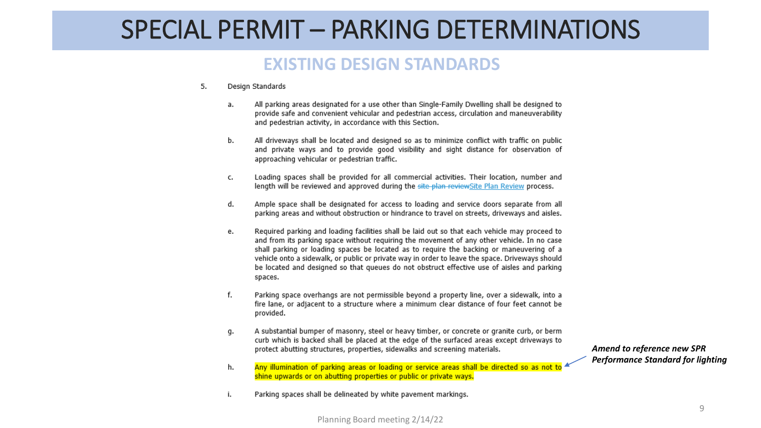### SPECIAL PERMIT – PARKING DETERMINATIONS

#### **EXISTING DESIGN STANDARDS**

- 5. Design Standards
	- All parking areas designated for a use other than Single-Family Dwelling shall be designed to a. provide safe and convenient vehicular and pedestrian access, circulation and maneuverability and pedestrian activity, in accordance with this Section.
	- All driveways shall be located and designed so as to minimize conflict with traffic on public b. and private ways and to provide good visibility and sight distance for observation of approaching vehicular or pedestrian traffic.
	- Loading spaces shall be provided for all commercial activities. Their location, number and c. length will be reviewed and approved during the site-plan-reviewSite Plan Review process.
	- Ample space shall be designated for access to loading and service doors separate from all d. parking areas and without obstruction or hindrance to travel on streets, driveways and aisles.
	- Required parking and loading facilities shall be laid out so that each vehicle may proceed to e. and from its parking space without requiring the movement of any other vehicle. In no case shall parking or loading spaces be located as to require the backing or maneuvering of a vehicle onto a sidewalk, or public or private way in order to leave the space. Driveways should be located and designed so that queues do not obstruct effective use of aisles and parking spaces.
	- f. Parking space overhangs are not permissible beyond a property line, over a sidewalk, into a fire lane, or adjacent to a structure where a minimum clear distance of four feet cannot be provided.
	- A substantial bumper of masonry, steel or heavy timber, or concrete or granite curb, or berm g. curb which is backed shall be placed at the edge of the surfaced areas except driveways to protect abutting structures, properties, sidewalks and screening materials.
	- Any illumination of parking areas or loading or service areas shall be directed so as not to h. shine upwards or on abutting properties or public or private ways.
	- Parking spaces shall be delineated by white pavement markings. i.

*Amend to reference new SPR Performance Standard for lighting*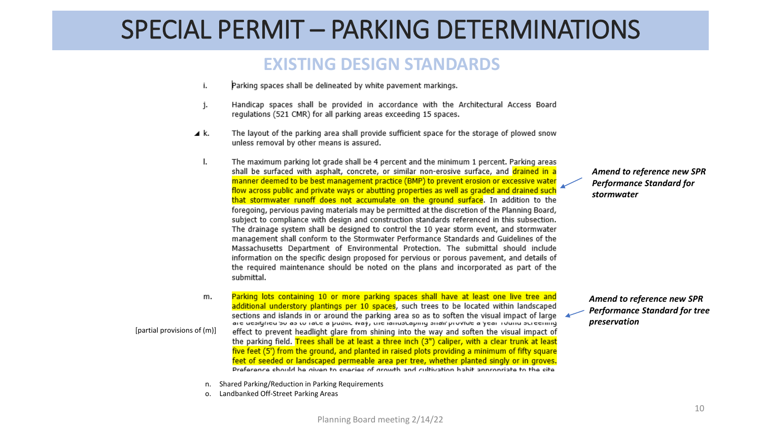### SPECIAL PERMIT – PARKING DETERMINATIONS

#### **EXISTING DESIGN STANDARDS**

- i. Parking spaces shall be delineated by white pavement markings.
- Handicap spaces shall be provided in accordance with the Architectural Access Board j. regulations (521 CMR) for all parking areas exceeding 15 spaces.
- ⊿ k. The layout of the parking area shall provide sufficient space for the storage of plowed snow unless removal by other means is assured.
	- The maximum parking lot grade shall be 4 percent and the minimum 1 percent. Parking areas I. shall be surfaced with asphalt, concrete, or similar non-erosive surface, and drained in a manner deemed to be best management practice (BMP) to prevent erosion or excessive water flow across public and private ways or abutting properties as well as graded and drained such that stormwater runoff does not accumulate on the ground surface. In addition to the foregoing, pervious paving materials may be permitted at the discretion of the Planning Board, subject to compliance with design and construction standards referenced in this subsection. The drainage system shall be designed to control the 10 year storm event, and stormwater management shall conform to the Stormwater Performance Standards and Guidelines of the Massachusetts Department of Environmental Protection. The submittal should include information on the specific design proposed for pervious or porous pavement, and details of the required maintenance should be noted on the plans and incorporated as part of the submittal.
- Parking lots containing 10 or more parking spaces shall have at least one live tree and m. additional understory plantings per 10 spaces, such trees to be located within landscaped sections and islands in or around the parking area so as to soften the visual impact of large are desfytred so as to rate a public (vay, the randstaphity siral provide a year round screening [partial provisions of (m)]effect to prevent headlight glare from shining into the way and soften the visual impact of the parking field. Trees shall be at least a three inch (3") caliper, with a clear trunk at least five feet (5') from the ground, and planted in raised plots providing a minimum of fifty square feet of seeded or landscaped permeable area per tree, whether planted singly or in groves. Proforance should he given to species of growth and cultivation habit appropriate to the site
	- n. Shared Parking/Reduction in Parking Requirements
	- o. Landbanked Off-Street Parking Areas

#### *Amend to reference new SPR Performance Standard for stormwater*

*Amend to reference new SPR Performance Standard for tree preservation*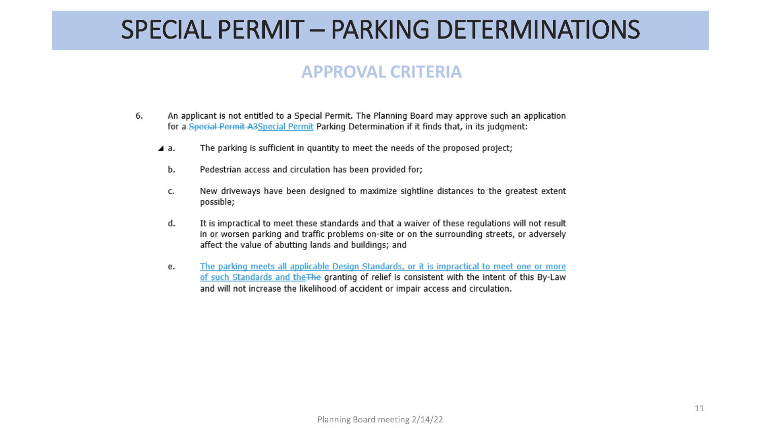### SPECIAL PERMIT – PARKING DETERMINATIONS

### **APPROVAL CRITERIA**

- An applicant is not entitled to a Special Permit. The Planning Board may approve such an application 6. for a Special Permit A3Special Permit Parking Determination if it finds that, in its judgment:
	- The parking is sufficient in quantity to meet the needs of the proposed project; ⊿ a.
		- Pedestrian access and circulation has been provided for; b.
		- New driveways have been designed to maximize sightline distances to the greatest extent c. possible;
		- d. It is impractical to meet these standards and that a waiver of these regulations will not result in or worsen parking and traffic problems on-site or on the surrounding streets, or adversely affect the value of abutting lands and buildings; and
		- The parking meets all applicable Design Standards, or it is impractical to meet one or more e. of such Standards and the The granting of relief is consistent with the intent of this By-Law and will not increase the likelihood of accident or impair access and circulation.